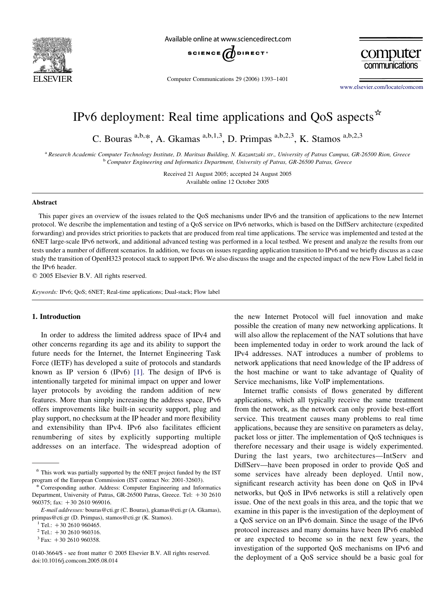

Available online at www.sciencedirect.com



Computer Communications 29 (2006) 1393–1401

communications

computer

[www.elsevier.com/locate/comcom](http://www.elsevier.com/locate/comcom)

# IPv6 deployment: Real time applications and QoS aspects<sup> $\star$ </sup>

C. Bouras a,b,\*, A. Gkamas a,b,1,3, D. Primpas a,b,2,3, K. Stamos a,b,2,3

<sup>a</sup> Research Academic Computer Technology Institute, D. Maritsas Building, N. Kazantzaki str., University of Patras Campus, GR-26500 Rion, Greece <sup>b</sup> Computer Engineering and Informatics Department, University of Patras, GR-26500 Patras, Greece

> Received 21 August 2005; accepted 24 August 2005 Available online 12 October 2005

#### Abstract

This paper gives an overview of the issues related to the QoS mechanisms under IPv6 and the transition of applications to the new Internet protocol. We describe the implementation and testing of a QoS service on IPv6 networks, which is based on the DiffServ architecture (expedited forwarding) and provides strict priorities to packets that are produced from real time applications. The service was implemented and tested at the 6NET large-scale IPv6 network, and additional advanced testing was performed in a local testbed. We present and analyze the results from our tests under a number of different scenarios. In addition, we focus on issues regarding application transition to IPv6 and we briefly discuss as a case study the transition of OpenH323 protocol stack to support IPv6. We also discuss the usage and the expected impact of the new Flow Label field in the IPv6 header.

 $© 2005 Elsevier B.V. All rights reserved.$ 

Keywords: IPv6; QoS; 6NET; Real-time applications; Dual-stack; Flow label

# 1. Introduction

In order to address the limited address space of IPv4 and other concerns regarding its age and its ability to support the future needs for the Internet, the Internet Engineering Task Force (IETF) has developed a suite of protocols and standards known as IP version 6 (IPv6) [\[1\].](#page-8-0) The design of IPv6 is intentionally targeted for minimal impact on upper and lower layer protocols by avoiding the random addition of new features. More than simply increasing the address space, IPv6 offers improvements like built-in security support, plug and play support, no checksum at the IP header and more flexibility and extensibility than IPv4. IPv6 also facilitates efficient renumbering of sites by explicitly supporting multiple addresses on an interface. The widespread adoption of

0140-3664/\$ - see front matter © 2005 Elsevier B.V. All rights reserved. doi:10.1016/j.comcom.2005.08.014

the new Internet Protocol will fuel innovation and make possible the creation of many new networking applications. It will also allow the replacement of the NAT solutions that have been implemented today in order to work around the lack of IPv4 addresses. NAT introduces a number of problems to network applications that need knowledge of the IP address of the host machine or want to take advantage of Quality of Service mechanisms, like VoIP implementations.

Internet traffic consists of flows generated by different applications, which all typically receive the same treatment from the network, as the network can only provide best-effort service. This treatment causes many problems to real time applications, because they are sensitive on parameters as delay, packet loss or jitter. The implementation of QoS techniques is therefore necessary and their usage is widely experimented. During the last years, two architectures—IntServ and DiffServ—have been proposed in order to provide QoS and some services have already been deployed. Until now, significant research activity has been done on QoS in IPv4 networks, but QoS in IPv6 networks is still a relatively open issue. One of the next goals in this area, and the topic that we examine in this paper is the investigation of the deployment of a QoS service on an IPv6 domain. Since the usage of the IPv6 protocol increases and many domains have been IPv6 enabled or are expected to become so in the next few years, the investigation of the supported QoS mechanisms on IPv6 and the deployment of a QoS service should be a basic goal for

 $*$  This work was partially supported by the 6NET project funded by the IST program of the European Commission (IST contract No: 2001-32603).

<sup>\*</sup> Corresponding author. Address: Computer Engineering and Informatics Department, University of Patras, GR-26500 Patras, Greece. Tel:  $+30$  2610 960375; fax:  $+30$  2610 969016.

E-mail addresses: bouras@cti.gr (C. Bouras), gkamas@cti.gr (A. Gkamas), primpas@cti.gr (D. Primpas), stamos@cti.gr (K. Stamos).<br> $1$ Tel.: +30 2610 960465.

<sup>&</sup>lt;sup>2</sup> Tel.:  $+30$  2610 960316.<br><sup>3</sup> Fax:  $+30$  2610 960358.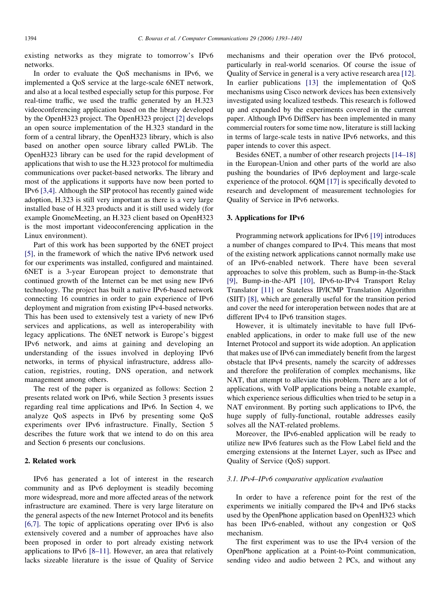existing networks as they migrate to tomorrow's IPv6 networks.

In order to evaluate the QoS mechanisms in IPv6, we implemented a QoS service at the large-scale 6NET network, and also at a local testbed especially setup for this purpose. For real-time traffic, we used the traffic generated by an H.323 videoconferencing application based on the library developed by the OpenH323 project. The OpenH323 project [\[2\]](#page-8-0) develops an open source implementation of the H.323 standard in the form of a central library, the OpenH323 library, which is also based on another open source library called PWLib. The OpenH323 library can be used for the rapid development of applications that wish to use the H.323 protocol for multimedia communications over packet-based networks. The library and most of the applications it supports have now been ported to IPv6 [\[3,4\]](#page-8-0). Although the SIP protocol has recently gained wide adoption, H.323 is still very important as there is a very large installed base of H.323 products and it is still used widely (for example GnomeMeeting, an H.323 client based on OpenH323 is the most important videoconferencing application in the Linux environment).

Part of this work has been supported by the 6NET project [\[5\]](#page-8-0), in the framework of which the native IPv6 network used for our experiments was installed, configured and maintained. 6NET is a 3-year European project to demonstrate that continued growth of the Internet can be met using new IPv6 technology. The project has built a native IPv6-based network connecting 16 countries in order to gain experience of IPv6 deployment and migration from existing IPv4-based networks. This has been used to extensively test a variety of new IPv6 services and applications, as well as interoperability with legacy applications. The 6NET network is Europe's biggest IPv6 network, and aims at gaining and developing an understanding of the issues involved in deploying IPv6 networks, in terms of physical infrastructure, address allocation, registries, routing, DNS operation, and network management among others.

The rest of the paper is organized as follows: Section 2 presents related work on IPv6, while Section 3 presents issues regarding real time applications and IPv6. In Section 4, we analyze QoS aspects in IPv6 by presenting some QoS experiments over IPv6 infrastructure. Finally, Section 5 describes the future work that we intend to do on this area and Section 6 presents our conclusions.

# 2. Related work

IPv6 has generated a lot of interest in the research community and as IPv6 deployment is steadily becoming more widespread, more and more affected areas of the network infrastructure are examined. There is very large literature on the general aspects of the new Internet Protocol and its benefits [\[6,7\].](#page-8-0) The topic of applications operating over IPv6 is also extensively covered and a number of approaches have also been proposed in order to port already existing network applications to IPv6 [\[8–11\]](#page-8-0). However, an area that relatively lacks sizeable literature is the issue of Quality of Service

mechanisms and their operation over the IPv6 protocol, particularly in real-world scenarios. Of course the issue of Quality of Service in general is a very active research area [\[12\]](#page-8-0). In earlier publications [\[13\]](#page-8-0) the implementation of QoS mechanisms using Cisco network devices has been extensively investigated using localized testbeds. This research is followed up and expanded by the experiments covered in the current paper. Although IPv6 DiffServ has been implemented in many commercial routers for some time now, literature is still lacking in terms of large-scale tests in native IPv6 networks, and this paper intends to cover this aspect.

Besides 6NET, a number of other research projects [\[14–18\]](#page-8-0) in the European-Union and other parts of the world are also pushing the boundaries of IPv6 deployment and large-scale experience of the protocol. 6QM [\[17\]](#page-8-0) is specifically devoted to research and development of measurement technologies for Quality of Service in IPv6 networks.

# 3. Applications for IPv6

Programming network applications for IPv6 [\[19\]](#page-8-0) introduces a number of changes compared to IPv4. This means that most of the existing network applications cannot normally make use of an IPv6-enabled network. There have been several approaches to solve this problem, such as Bump-in-the-Stack [\[9\]](#page-8-0), Bump-in-the-API [\[10\]](#page-8-0), IPv6-to-IPv4 Transport Relay Translator [\[11\]](#page-8-0) or Stateless IP/ICMP Translation Algorithm (SIIT) [\[8\]](#page-8-0), which are generally useful for the transition period and cover the need for interoperation between nodes that are at different IPv4 to IPv6 transition stages.

However, it is ultimately inevitable to have full IPv6 enabled applications, in order to make full use of the new Internet Protocol and support its wide adoption. An application that makes use of IPv6 can immediately benefit from the largest obstacle that IPv4 presents, namely the scarcity of addresses and therefore the proliferation of complex mechanisms, like NAT, that attempt to alleviate this problem. There are a lot of applications, with VoIP applications being a notable example, which experience serious difficulties when tried to be setup in a NAT environment. By porting such applications to IPv6, the huge supply of fully-functional, routable addresses easily solves all the NAT-related problems.

Moreover, the IPv6-enabled application will be ready to utilize new IPv6 features such as the Flow Label field and the emerging extensions at the Internet Layer, such as IPsec and Quality of Service (QoS) support.

# 3.1. IPv4–IPv6 comparative application evaluation

In order to have a reference point for the rest of the experiments we initially compared the IPv4 and IPv6 stacks used by the OpenPhone application based on OpenH323 which has been IPv6-enabled, without any congestion or QoS mechanism.

The first experiment was to use the IPv4 version of the OpenPhone application at a Point-to-Point communication, sending video and audio between 2 PCs, and without any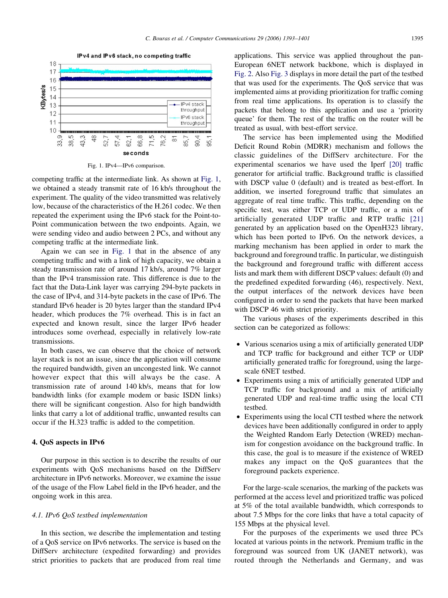

Fig. 1. IPv4—IPv6 comparison.

competing traffic at the intermediate link. As shown at Fig. 1, we obtained a steady transmit rate of 16 kb/s throughout the experiment. The quality of the video transmitted was relatively low, because of the characteristics of the H.261 codec. We then repeated the experiment using the IPv6 stack for the Point-to-Point communication between the two endpoints. Again, we were sending video and audio between 2 PCs, and without any competing traffic at the intermediate link.

Again we can see in Fig. 1 that in the absence of any competing traffic and with a link of high capacity, we obtain a steady transmission rate of around 17 kb/s, around 7% larger than the IPv4 transmission rate. This difference is due to the fact that the Data-Link layer was carrying 294-byte packets in the case of IPv4, and 314-byte packets in the case of IPv6. The standard IPv6 header is 20 bytes larger than the standard IPv4 header, which produces the 7% overhead. This is in fact an expected and known result, since the larger IPv6 header introduces some overhead, especially in relatively low-rate transmissions.

In both cases, we can observe that the choice of network layer stack is not an issue, since the application will consume the required bandwidth, given an uncongested link. We cannot however expect that this will always be the case. A transmission rate of around 140 kb/s, means that for low bandwidth links (for example modem or basic ISDN links) there will be significant congestion. Also for high bandwidth links that carry a lot of additional traffic, unwanted results can occur if the H.323 traffic is added to the competition.

#### 4. QoS aspects in IPv6

Our purpose in this section is to describe the results of our experiments with QoS mechanisms based on the DiffServ architecture in IPv6 networks. Moreover, we examine the issue of the usage of the Flow Label field in the IPv6 header, and the ongoing work in this area.

#### 4.1. IPv6 QoS testbed implementation

In this section, we describe the implementation and testing of a QoS service on IPv6 networks. The service is based on the DiffServ architecture (expedited forwarding) and provides strict priorities to packets that are produced from real time applications. This service was applied throughout the pan-European 6NET network backbone, which is displayed in [Fig. 2](#page-3-0). Also [Fig. 3](#page-4-0) displays in more detail the part of the testbed that was used for the experiments. The QoS service that was implemented aims at providing prioritization for traffic coming from real time applications. Its operation is to classify the packets that belong to this application and use a 'priority queue' for them. The rest of the traffic on the router will be treated as usual, with best-effort service.

The service has been implemented using the Modified Deficit Round Robin (MDRR) mechanism and follows the classic guidelines of the DiffServ architecture. For the experimental scenarios we have used the Iperf [\[20\]](#page-8-0) traffic generator for artificial traffic. Background traffic is classified with DSCP value 0 (default) and is treated as best-effort. In addition, we inserted foreground traffic that simulates an aggregate of real time traffic. This traffic, depending on the specific test, was either TCP or UDP traffic, or a mix of artificially generated UDP traffic and RTP traffic [\[21\]](#page-8-0) generated by an application based on the OpenH323 library, which has been ported to IPv6. On the network devices, a marking mechanism has been applied in order to mark the background and foreground traffic. In particular, we distinguish the background and foreground traffic with different access lists and mark them with different DSCP values: default (0) and the predefined expedited forwarding (46), respectively. Next, the output interfaces of the network devices have been configured in order to send the packets that have been marked with DSCP 46 with strict priority.

The various phases of the experiments described in this section can be categorized as follows:

- Various scenarios using a mix of artificially generated UDP and TCP traffic for background and either TCP or UDP artificially generated traffic for foreground, using the largescale 6NET testbed.
- Experiments using a mix of artificially generated UDP and TCP traffic for background and a mix of artificially generated UDP and real-time traffic using the local CTI testbed.
- † Experiments using the local CTI testbed where the network devices have been additionally configured in order to apply the Weighted Random Early Detection (WRED) mechanism for congestion avoidance on the background traffic. In this case, the goal is to measure if the existence of WRED makes any impact on the QoS guarantees that the foreground packets experience.

For the large-scale scenarios, the marking of the packets was performed at the access level and prioritized traffic was policed at 5% of the total available bandwidth, which corresponds to about 7.5 Mbps for the core links that have a total capacity of 155 Mbps at the physical level.

For the purposes of the experiments we used three PCs located at various points in the network. Premium traffic in the foreground was sourced from UK (JANET network), was routed through the Netherlands and Germany, and was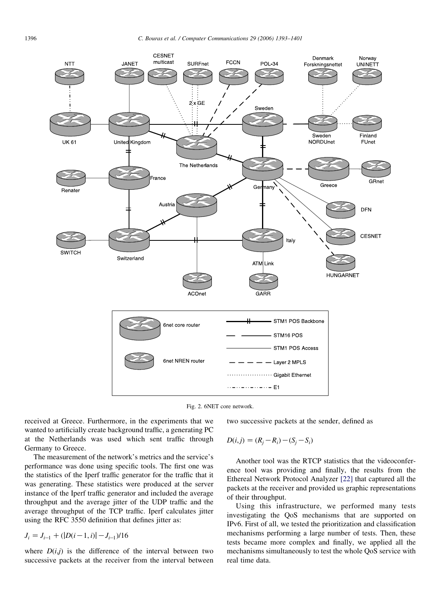<span id="page-3-0"></span>

Fig. 2. 6NET core network.

received at Greece. Furthermore, in the experiments that we wanted to artificially create background traffic, a generating PC at the Netherlands was used which sent traffic through Germany to Greece.

The measurement of the network's metrics and the service's performance was done using specific tools. The first one was the statistics of the Iperf traffic generator for the traffic that it was generating. These statistics were produced at the server instance of the Iperf traffic generator and included the average throughput and the average jitter of the UDP traffic and the average throughput of the TCP traffic. Iperf calculates jitter using the RFC 3550 definition that defines jitter as:

$$
J_i = J_{i-1} + (|D(i-1,i)| - J_{i-1})/16
$$

where  $D(i,j)$  is the difference of the interval between two successive packets at the receiver from the interval between

two successive packets at the sender, defined as

$$
D(i,j) = (R_j - R_i) - (S_j - S_i)
$$

Another tool was the RTCP statistics that the videoconference tool was providing and finally, the results from the Ethereal Network Protocol Analyzer [\[22\]](#page-8-0) that captured all the packets at the receiver and provided us graphic representations of their throughput.

Using this infrastructure, we performed many tests investigating the QoS mechanisms that are supported on IPv6. First of all, we tested the prioritization and classification mechanisms performing a large number of tests. Then, these tests became more complex and finally, we applied all the mechanisms simultaneously to test the whole QoS service with real time data.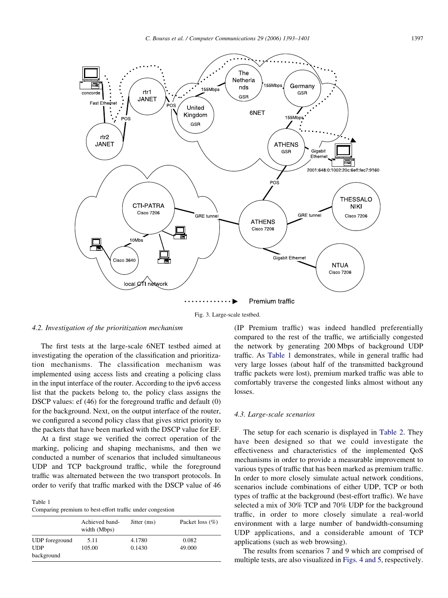<span id="page-4-0"></span>

Fig. 3. Large-scale testbed.

#### 4.2. Investigation of the prioritization mechanism

The first tests at the large-scale 6NET testbed aimed at investigating the operation of the classification and prioritization mechanisms. The classification mechanism was implemented using access lists and creating a policing class in the input interface of the router. According to the ipv6 access list that the packets belong to, the policy class assigns the DSCP values: ef (46) for the foreground traffic and default (0) for the background. Next, on the output interface of the router, we configured a second policy class that gives strict priority to the packets that have been marked with the DSCP value for EF.

At a first stage we verified the correct operation of the marking, policing and shaping mechanisms, and then we conducted a number of scenarios that included simultaneous UDP and TCP background traffic, while the foreground traffic was alternated between the two transport protocols. In order to verify that traffic marked with the DSCP value of 46

Table 1 Comparing premium to best-effort traffic under congestion

|                | Achieved band-<br>width (Mbps) | Jitter (ms) | Packet loss $(\% )$ |
|----------------|--------------------------------|-------------|---------------------|
| UDP foreground | 5.11                           | 4.1780      | 0.082               |
| <b>UDP</b>     | 105.00                         | 0.1430      | 49.000              |
| background     |                                |             |                     |

(IP Premium traffic) was indeed handled preferentially compared to the rest of the traffic, we artificially congested the network by generating 200 Mbps of background UDP traffic. As Table 1 demonstrates, while in general traffic had very large losses (about half of the transmitted background traffic packets were lost), premium marked traffic was able to comfortably traverse the congested links almost without any losses.

# 4.3. Large-scale scenarios

The setup for each scenario is displayed in [Table 2.](#page-5-0) They have been designed so that we could investigate the effectiveness and characteristics of the implemented QoS mechanisms in order to provide a measurable improvement to various types of traffic that has been marked as premium traffic. In order to more closely simulate actual network conditions, scenarios include combinations of either UDP, TCP or both types of traffic at the background (best-effort traffic). We have selected a mix of 30% TCP and 70% UDP for the background traffic, in order to more closely simulate a real-world environment with a large number of bandwidth-consuming UDP applications, and a considerable amount of TCP applications (such as web browsing).

The results from scenarios 7 and 9 which are comprised of multiple tests, are also visualized in [Figs. 4 and 5,](#page-5-0) respectively.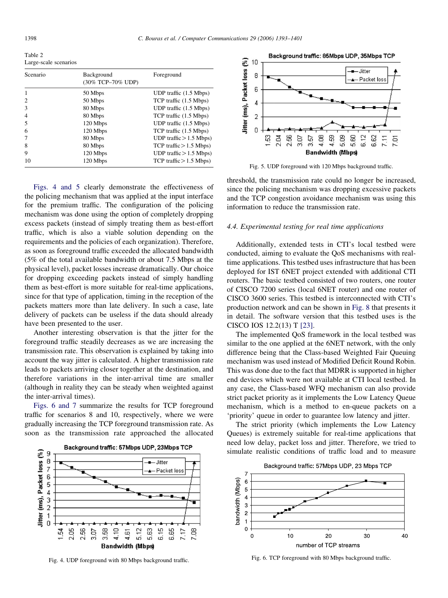<span id="page-5-0"></span>Table 2 Large-scale scenarios

| Scenario      | Background<br>(30% TCP-70% UDP) | Foreground                       |
|---------------|---------------------------------|----------------------------------|
|               | 50 Mbps                         | UDP traffic $(1.5 \text{ Mbps})$ |
| $\mathcal{D}$ | 50 Mbps                         | TCP traffic (1.5 Mbps)           |
| $\mathcal{F}$ | 80 Mbps                         | UDP traffic (1.5 Mbps)           |
| 4             | 80 Mbps                         | TCP traffic (1.5 Mbps)           |
| .5            | 120 Mbps                        | UDP traffic $(1.5 \text{ Mbps})$ |
| 6             | 120 Mbps                        | TCP traffic (1.5 Mbps)           |
|               | 80 Mbps                         | UDP traffic $> 1.5$ Mbps)        |
| 8             | 80 Mbps                         | TCP traffic $> 1.5$ Mbps)        |
| 9             | 120 Mbps                        | UDP traffic $> 1.5$ Mbps)        |
| 10            | 120 Mbps                        | TCP traffic $> 1.5$ Mbps)        |

[Figs. 4 and 5](#page-8-0) clearly demonstrate the effectiveness of the policing mechanism that was applied at the input interface for the premium traffic. The configuration of the policing mechanism was done using the option of completely dropping excess packets (instead of simply treating them as best-effort traffic, which is also a viable solution depending on the requirements and the policies of each organization). Therefore, as soon as foreground traffic exceeded the allocated bandwidth (5% of the total available bandwidth or about 7.5 Mbps at the physical level), packet losses increase dramatically. Our choice for dropping exceeding packets instead of simply handling them as best-effort is more suitable for real-time applications, since for that type of application, timing in the reception of the packets matters more than late delivery. In such a case, late delivery of packets can be useless if the data should already have been presented to the user.

Another interesting observation is that the jitter for the foreground traffic steadily decreases as we are increasing the transmission rate. This observation is explained by taking into account the way jitter is calculated. A higher transmission rate leads to packets arriving closer together at the destination, and therefore variations in the inter-arrival time are smaller (although in reality they can be steady when weighted against the inter-arrival times).

Figs. 6 and 7 summarize the results for TCP foreground traffic for scenarios 8 and 10, respectively, where we were gradually increasing the TCP foreground transmission rate. As soon as the transmission rate approached the allocated



Fig. 4. UDP foreground with 80 Mbps background traffic.



Fig. 5. UDP foreground with 120 Mbps background traffic.

threshold, the transmission rate could no longer be increased, since the policing mechanism was dropping excessive packets and the TCP congestion avoidance mechanism was using this information to reduce the transmission rate.

#### 4.4. Experimental testing for real time applications

Additionally, extended tests in CTI's local testbed were conducted, aiming to evaluate the QoS mechanisms with realtime applications. This testbed uses infrastructure that has been deployed for IST 6NET project extended with additional CTI routers. The basic testbed consisted of two routers, one router of CISCO 7200 series (local 6NET router) and one router of CISCO 3600 series. This testbed is interconnected with CTI's production network and can be shown in [Fig. 8](#page-6-0) that presents it in detail. The software version that this testbed uses is the CISCO IOS 12.2(13) T [\[23\].](#page-8-0)

The implemented QoS framework in the local testbed was similar to the one applied at the 6NET network, with the only difference being that the Class-based Weighted Fair Queuing mechanism was used instead of Modified Deficit Round Robin. This was done due to the fact that MDRR is supported in higher end devices which were not available at CTI local testbed. In any case, the Class-based WFQ mechanism can also provide strict packet priority as it implements the Low Latency Queue mechanism, which is a method to en-queue packets on a 'priority' queue in order to guarantee low latency and jitter.

The strict priority (which implements the Low Latency Queues) is extremely suitable for real-time applications that need low delay, packet loss and jitter. Therefore, we tried to simulate realistic conditions of traffic load and to measure



Fig. 6. TCP foreground with 80 Mbps background traffic.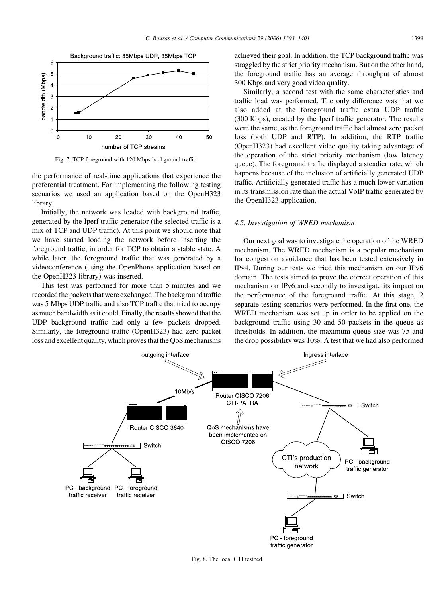<span id="page-6-0"></span>

Fig. 7. TCP foreground with 120 Mbps background traffic.

the performance of real-time applications that experience the preferential treatment. For implementing the following testing scenarios we used an application based on the OpenH323 library.

Initially, the network was loaded with background traffic, generated by the Iperf traffic generator (the selected traffic is a mix of TCP and UDP traffic). At this point we should note that we have started loading the network before inserting the foreground traffic, in order for TCP to obtain a stable state. A while later, the foreground traffic that was generated by a videoconference (using the OpenPhone application based on the OpenH323 library) was inserted.

This test was performed for more than 5 minutes and we recorded the packets that were exchanged. The background traffic was 5 Mbps UDP traffic and also TCP traffic that tried to occupy as much bandwidth as it could. Finally, the results showed that the UDP background traffic had only a few packets dropped. Similarly, the foreground traffic (OpenH323) had zero packet loss and excellent quality, which proves that the QoS mechanisms achieved their goal. In addition, the TCP background traffic was straggled by the strict priority mechanism. But on the other hand, the foreground traffic has an average throughput of almost 300 Kbps and very good video quality.

Similarly, a second test with the same characteristics and traffic load was performed. The only difference was that we also added at the foreground traffic extra UDP traffic (300 Kbps), created by the Iperf traffic generator. The results were the same, as the foreground traffic had almost zero packet loss (both UDP and RTP). In addition, the RTP traffic (OpenH323) had excellent video quality taking advantage of the operation of the strict priority mechanism (low latency queue). The foreground traffic displayed a steadier rate, which happens because of the inclusion of artificially generated UDP traffic. Artificially generated traffic has a much lower variation in its transmission rate than the actual VoIP traffic generated by the OpenH323 application.

#### 4.5. Investigation of WRED mechanism

Our next goal was to investigate the operation of the WRED mechanism. The WRED mechanism is a popular mechanism for congestion avoidance that has been tested extensively in IPv4. During our tests we tried this mechanism on our IPv6 domain. The tests aimed to prove the correct operation of this mechanism on IPv6 and secondly to investigate its impact on the performance of the foreground traffic. At this stage, 2 separate testing scenarios were performed. In the first one, the WRED mechanism was set up in order to be applied on the background traffic using 30 and 50 packets in the queue as thresholds. In addition, the maximum queue size was 75 and the drop possibility was 10%. A test that we had also performed



Fig. 8. The local CTI testbed.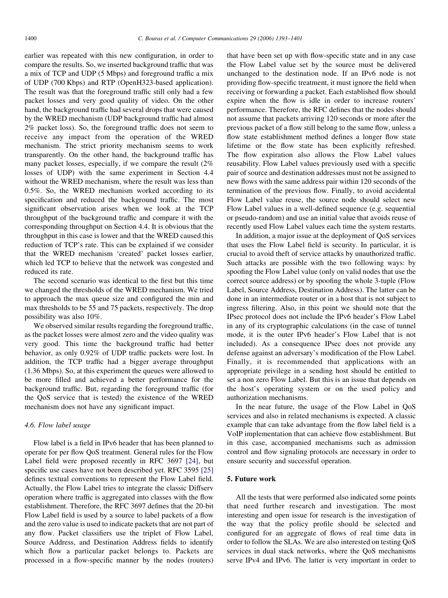earlier was repeated with this new configuration, in order to compare the results. So, we inserted background traffic that was a mix of TCP and UDP (5 Mbps) and foreground traffic a mix of UDP (700 Kbps) and RTP (OpenH323-based application). The result was that the foreground traffic still only had a few packet losses and very good quality of video. On the other hand, the background traffic had several drops that were caused by the WRED mechanism (UDP background traffic had almost 2% packet loss). So, the foreground traffic does not seem to receive any impact from the operation of the WRED mechanism. The strict priority mechanism seems to work transparently. On the other hand, the background traffic has many packet losses, especially, if we compare the result (2% losses of UDP) with the same experiment in Section 4.4 without the WRED mechanism, where the result was less than 0.5%. So, the WRED mechanism worked according to its specification and reduced the background traffic. The most significant observation arises when we look at the TCP throughput of the background traffic and compare it with the corresponding throughput on Section 4.4. It is obvious that the throughput in this case is lower and that the WRED caused this reduction of TCP's rate. This can be explained if we consider that the WRED mechanism 'created' packet losses earlier, which led TCP to believe that the network was congested and reduced its rate.

The second scenario was identical to the first but this time we changed the thresholds of the WRED mechanism. We tried to approach the max queue size and configured the min and max thresholds to be 55 and 75 packets, respectively. The drop possibility was also 10%.

We observed similar results regarding the foreground traffic, as the packet losses were almost zero and the video quality was very good. This time the background traffic had better behavior, as only 0.92% of UDP traffic packets were lost. In addition, the TCP traffic had a bigger average throughput (1.36 Mbps). So, at this experiment the queues were allowed to be more filled and achieved a better performance for the background traffic. But, regarding the foreground traffic (for the QoS service that is tested) the existence of the WRED mechanism does not have any significant impact.

# 4.6. Flow label usage

Flow label is a field in IPv6 header that has been planned to operate for per flow QoS treatment. General rules for the Flow Label field were proposed recently in RFC 3697 [\[24\],](#page-8-0) but specific use cases have not been described yet. RFC 3595 [\[25\]](#page-8-0) defines textual conventions to represent the Flow Label field. Actually, the Flow Label tries to integrate the classic Diffserv operation where traffic is aggregated into classes with the flow establishment. Therefore, the RFC 3697 defines that the 20-bit Flow Label field is used by a source to label packets of a flow and the zero value is used to indicate packets that are not part of any flow. Packet classifiers use the triplet of Flow Label, Source Address, and Destination Address fields to identify which flow a particular packet belongs to. Packets are processed in a flow-specific manner by the nodes (routers) that have been set up with flow-specific state and in any case the Flow Label value set by the source must be delivered unchanged to the destination node. If an IPv6 node is not providing flow-specific treatment, it must ignore the field when receiving or forwarding a packet. Each established flow should expire when the flow is idle in order to increase routers' performance. Therefore, the RFC defines that the nodes should not assume that packets arriving 120 seconds or more after the previous packet of a flow still belong to the same flow, unless a flow state establishment method defines a longer flow state lifetime or the flow state has been explicitly refreshed. The flow expiration also allows the Flow Label values reusability. Flow Label values previously used with a specific pair of source and destination addresses must not be assigned to new flows with the same address pair within 120 seconds of the termination of the previous flow. Finally, to avoid accidental Flow Label value reuse, the source node should select new Flow Label values in a well-defined sequence (e.g. sequential or pseudo-random) and use an initial value that avoids reuse of recently used Flow Label values each time the system restarts.

In addition, a major issue at the deployment of QoS services that uses the Flow Label field is security. In particular, it is crucial to avoid theft of service attacks by unauthorized traffic. Such attacks are possible with the two following ways: by spoofing the Flow Label value (only on valid nodes that use the correct source address) or by spoofing the whole 3-tuple (Flow Label, Source Address, Destination Address). The latter can be done in an intermediate router or in a host that is not subject to ingress filtering. Also, in this point we should note that the IPsec protocol does not include the IPv6 header's Flow Label in any of its cryptographic calculations (in the case of tunnel mode, it is the outer IPv6 header's Flow Label that is not included). As a consequence IPsec does not provide any defense against an adversary's modification of the Flow Label. Finally, it is recommended that applications with an appropriate privilege in a sending host should be entitled to set a non zero Flow Label. But this is an issue that depends on the host's operating system or on the used policy and authorization mechanisms.

In the near future, the usage of the Flow Label in QoS services and also in related mechanisms is expected. A classic example that can take advantage from the flow label field is a VoIP implementation that can achieve flow establishment. But in this case, accompanied mechanisms such as admission control and flow signaling protocols are necessary in order to ensure security and successful operation.

# 5. Future work

All the tests that were performed also indicated some points that need further research and investigation. The most interesting and open issue for research is the investigation of the way that the policy profile should be selected and configured for an aggregate of flows of real time data in order to follow the SLAs. We are also interested on testing QoS services in dual stack networks, where the QoS mechanisms serve IPv4 and IPv6. The latter is very important in order to